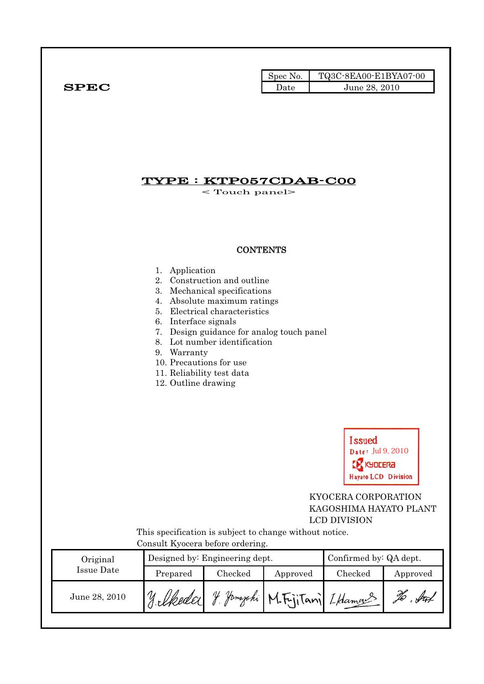|              | Spec No. | TQ3C-8EA00-E1BYA07-00 |
|--------------|----------|-----------------------|
| ${\bf SPEC}$ | Date     | June 28, 2010         |

## TYPE : KTP057CDAB-C00

< Touch panel>

## **CONTENTS**

#### 1. Application

- 2. Construction and outline
- 3. Mechanical specifications
- 4. Absolute maximum ratings
- 5. Electrical characteristics
- 6. Interface signals
- 7. Design guidance for analog touch panel
- 8. Lot number identification
- 9. Warranty
- 10. Precautions for use
- 11. Reliability test data
- 12. Outline drawing



## KYOCERA CORPORATION KAGOSHIMA HAYATO PLANT LCD DIVISION

 This specification is subject to change without notice. Consult Kyocera before ordering.

| Original      |                | Designed by: Engineering dept. | Confirmed by: QA dept.         |         |          |  |
|---------------|----------------|--------------------------------|--------------------------------|---------|----------|--|
| Issue Date    | Prepared       | Checked                        | Approved                       | Checked | Approved |  |
| June 28, 2010 | 17. Ukedar 1 " |                                | y Yamazaki M.FrjiTani Iklamans |         |          |  |
|               |                |                                |                                |         |          |  |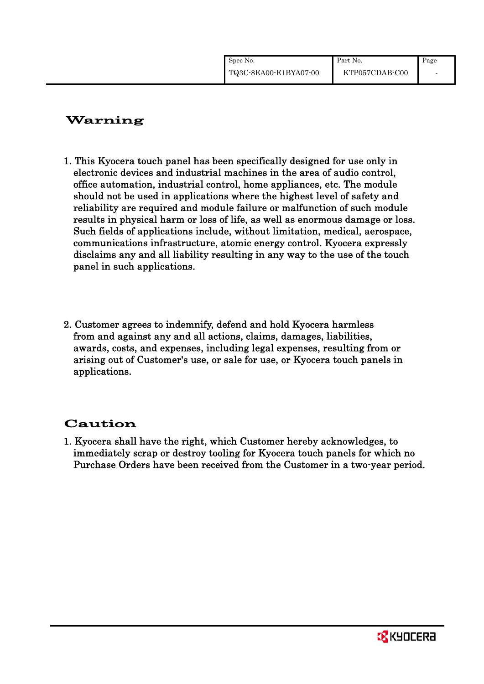| Spec No.                | Part No.       | Page |
|-------------------------|----------------|------|
| $TQ3C-8EA00-E1BYA07-00$ | KTP057CDAB-C00 |      |

## Warning

- 1. This Kyocera touch panel has been specifically designed for use only in electronic devices and industrial machines in the area of audio control, office automation, industrial control, home appliances, etc. The module should not be used in applications where the highest level of safety and reliability are required and module failure or malfunction of such module results in physical harm or loss of life, as well as enormous damage or loss. Such fields of applications include, without limitation, medical, aerospace, communications infrastructure, atomic energy control. Kyocera expressly disclaims any and all liability resulting in any way to the use of the touch panel in such applications.
- 2. Customer agrees to indemnify, defend and hold Kyocera harmless from and against any and all actions, claims, damages, liabilities, awards, costs, and expenses, including legal expenses, resulting from or arising out of Customer's use, or sale for use, or Kyocera touch panels in applications.

# Caution

1. Kyocera shall have the right, which Customer hereby acknowledges, to immediately scrap or destroy tooling for Kyocera touch panels for which no Purchase Orders have been received from the Customer in a two-year period.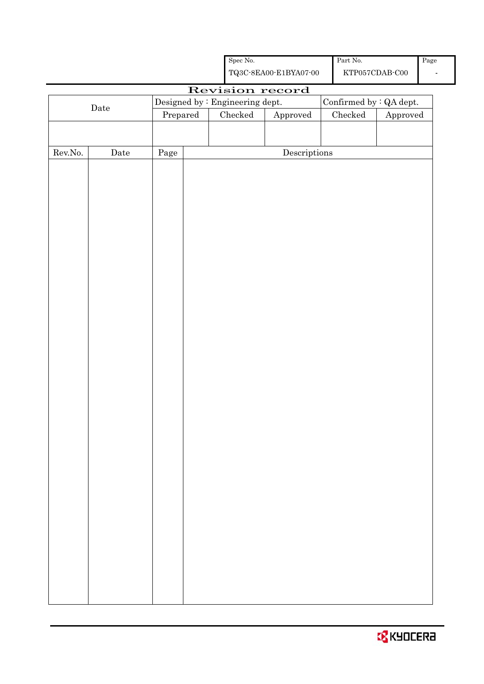|         |      |                                 | ${\rm Spec}$ No. |                                                    | Part No.                |          | Page |
|---------|------|---------------------------------|------------------|----------------------------------------------------|-------------------------|----------|------|
|         |      |                                 |                  | ${\bf TQ3C\text{-}8EAOO\text{-}E1BYA07\text{-}00}$ | $\verb KTPO57CDAB-C00 $ |          |      |
|         |      |                                 |                  | Revision record                                    |                         |          |      |
|         | Date | Designed by : Engineering dept. |                  |                                                    | Confirmed by : QA dept. |          |      |
|         |      | Prepared                        | ${\it Checked}$  | Approved                                           | Checked                 | Approved |      |
|         |      |                                 |                  |                                                    |                         |          |      |
|         |      |                                 |                  |                                                    |                         |          |      |
| Rev.No. | Date | Page                            |                  | $\label{eq:2} \textbf{Descriptions}$               |                         |          |      |
|         |      |                                 |                  |                                                    |                         |          |      |
|         |      |                                 |                  |                                                    |                         |          |      |
|         |      |                                 |                  |                                                    |                         |          |      |
|         |      |                                 |                  |                                                    |                         |          |      |
|         |      |                                 |                  |                                                    |                         |          |      |
|         |      |                                 |                  |                                                    |                         |          |      |
|         |      |                                 |                  |                                                    |                         |          |      |
|         |      |                                 |                  |                                                    |                         |          |      |
|         |      |                                 |                  |                                                    |                         |          |      |
|         |      |                                 |                  |                                                    |                         |          |      |
|         |      |                                 |                  |                                                    |                         |          |      |
|         |      |                                 |                  |                                                    |                         |          |      |
|         |      |                                 |                  |                                                    |                         |          |      |
|         |      |                                 |                  |                                                    |                         |          |      |
|         |      |                                 |                  |                                                    |                         |          |      |
|         |      |                                 |                  |                                                    |                         |          |      |
|         |      |                                 |                  |                                                    |                         |          |      |
|         |      |                                 |                  |                                                    |                         |          |      |
|         |      |                                 |                  |                                                    |                         |          |      |
|         |      |                                 |                  |                                                    |                         |          |      |
|         |      |                                 |                  |                                                    |                         |          |      |
|         |      |                                 |                  |                                                    |                         |          |      |
|         |      |                                 |                  |                                                    |                         |          |      |
|         |      |                                 |                  |                                                    |                         |          |      |
|         |      |                                 |                  |                                                    |                         |          |      |
|         |      |                                 |                  |                                                    |                         |          |      |
|         |      |                                 |                  |                                                    |                         |          |      |
|         |      |                                 |                  |                                                    |                         |          |      |
|         |      |                                 |                  |                                                    |                         |          |      |
|         |      |                                 |                  |                                                    |                         |          |      |
|         |      |                                 |                  |                                                    |                         |          |      |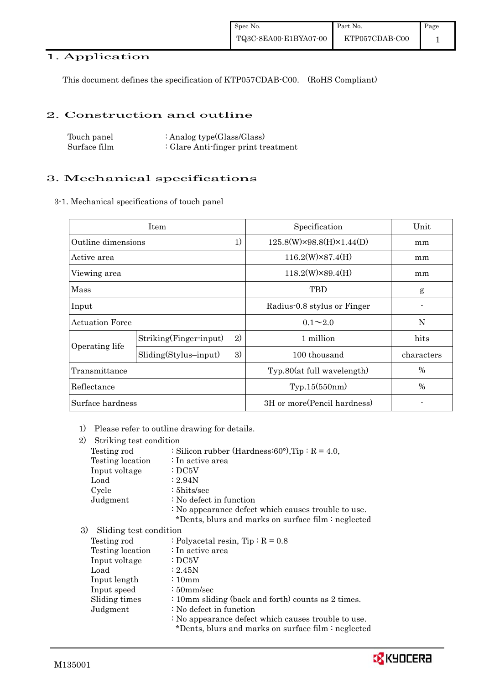## 1. Application

This document defines the specification of KTP057CDAB-C00. (RoHS Compliant)

#### 2. Construction and outline

| Touch panel  | : Analog type $(Glass/Glass)$       |
|--------------|-------------------------------------|
| Surface film | : Glare Anti-finger print treatment |

## 3. Mechanical specifications

3-1. Mechanical specifications of touch panel

|                          | Item                          | Specification                          | Unit       |
|--------------------------|-------------------------------|----------------------------------------|------------|
| 1)<br>Outline dimensions |                               | $125.8(W)\times 98.8(H)\times 1.44(D)$ | mm         |
| Active area              |                               | $116.2(W)\times 87.4(H)$               | mm         |
| Viewing area             |                               | $118.2(W)\times89.4(H)$                | mm         |
| Mass                     |                               | TBD                                    | g          |
| Input                    |                               | Radius-0.8 stylus or Finger            |            |
| <b>Actuation Force</b>   |                               | $0.1 \sim 2.0$                         | N          |
|                          | 2)<br>Striking(Finger-input)  | 1 million                              | hits       |
| Operating life           | 3)<br>$Sliding(Stylus-input)$ | 100 thousand                           | characters |
| Transmittance            |                               | Typ.80(at full wavelength)             | %          |
| Reflectance              |                               | Typ.15(550nm)                          | $\%$       |
| Surface hardness         |                               | 3H or more (Pencil hardness)           |            |

1) Please refer to outline drawing for details.

| 2) | Striking test condition |                                                     |
|----|-------------------------|-----------------------------------------------------|
|    | Testing rod             | : Silicon rubber (Hardness: 60°), Tip: $R = 4.0$ ,  |
|    | Testing location        | $\therefore$ In active area                         |
|    | Input voltage           | $\therefore$ DC5V                                   |
|    | Load                    | : 2.94N                                             |
|    | Cycle                   | $: 5$ hits/sec                                      |
|    | Judgment                | : No defect in function                             |
|    |                         | : No appearance defect which causes trouble to use. |
|    |                         | *Dents, blurs and marks on surface film : neglected |
| 3) | Sliding test condition  |                                                     |
|    | Testing rod             | : Polyacetal resin, $Tip: R = 0.8$                  |
|    | Testing location        | : In active area                                    |
|    | Input voltage           | $\cdot$ DC5V                                        |
|    | Load                    | : 2.45N                                             |
|    | Input length            | $\div 10$ m m                                       |
|    | Input speed             | $\div 50$ mm/sec                                    |

- Sliding times : 10mm sliding (back and forth) counts as 2 times. Judgment : No defect in function
	- : No appearance defect which causes trouble to use.

\*Dents, blurs and marks on surface film : neglected

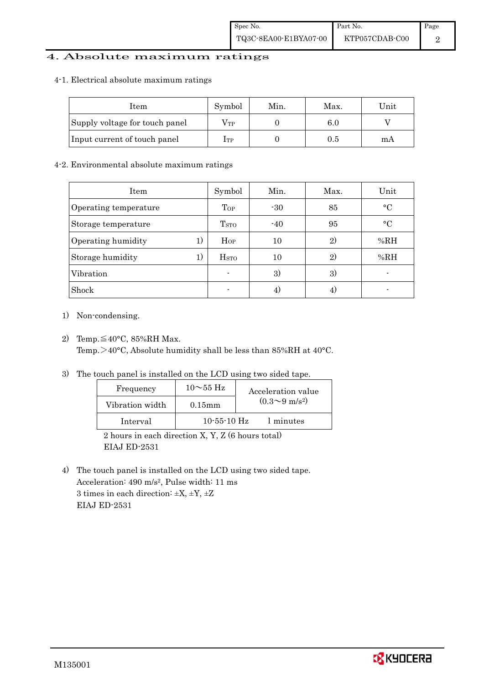## 4. Absolute maximum ratings

#### 4-1. Electrical absolute maximum ratings

| Item                           | Symbol       | Min. | Max. | Unit |
|--------------------------------|--------------|------|------|------|
| Supply voltage for touch panel | $\rm V_{TP}$ |      | 6.0  |      |
| Input current of touch panel   | Iтр          |      | 0.5  | mА   |

#### 4-2. Environmental absolute maximum ratings

| Item                  |    | Symbol                  | Min.  | Max.         | Unit      |
|-----------------------|----|-------------------------|-------|--------------|-----------|
| Operating temperature |    | Top                     | $-30$ | 85           | $\circ$ C |
| Storage temperature   |    | T <sub>STO</sub>        | $-40$ | 95           | $\circ$ C |
| Operating humidity    | 1) | $H_{OP}$                | 10    | $\mathbf{2}$ | %RH       |
| Storage humidity      | 1) | <b>H</b> <sub>STO</sub> | 10    | $\mathbf{2}$ | %RH       |
| Vibration             |    | $\blacksquare$          | 3)    | 3)           |           |
| Shock                 |    | ٠                       |       |              |           |

- 1) Non-condensing.
- 2) Temp. $\leq 40^{\circ}$ C, 85%RH Max. Temp.>40°C, Absolute humidity shall be less than 85%RH at 40°C.
- 3) The touch panel is installed on the LCD using two sided tape.

| $(0.3{\sim}9~{\rm m/s^2})$<br>Vibration width<br>$0.15$ mm | Frequency | $10\sim$ 55 Hz | Acceleration value |
|------------------------------------------------------------|-----------|----------------|--------------------|
|                                                            |           |                |                    |
| $10-55-10$ Hz<br>1 minutes<br>Interval                     |           |                |                    |

 2 hours in each direction X, Y, Z (6 hours total) EIAJ ED-2531

4) The touch panel is installed on the LCD using two sided tape. Acceleration: 490 m/s2, Pulse width: 11 ms 3 times in each direction:  $\pm X$ ,  $\pm Y$ ,  $\pm Z$ EIAJ ED-2531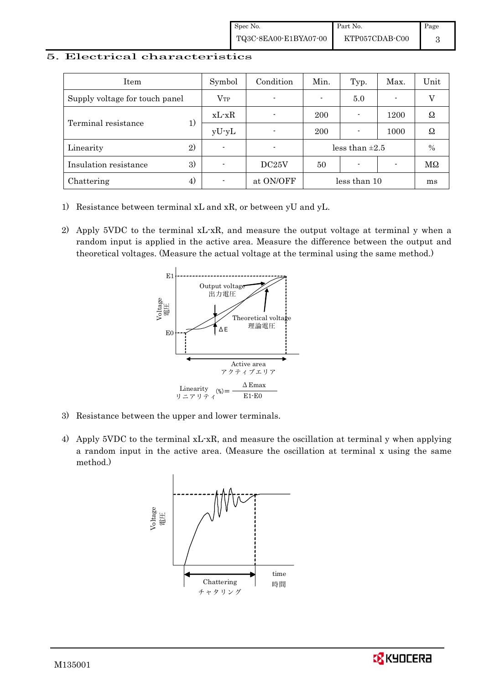#### 5. Electrical characteristics

| Item                           | Symbol         | Condition                | Min.                | Typ.                     | Max.                     | Unit          |
|--------------------------------|----------------|--------------------------|---------------------|--------------------------|--------------------------|---------------|
| Supply voltage for touch panel | $V_{TP}$       | $\blacksquare$           |                     | 5.0                      | $\overline{\phantom{0}}$ |               |
| Terminal resistance            | $xL-xR$        |                          | 200                 |                          | 1200                     | Ω             |
|                                | $yU-yL$        | $\blacksquare$           | 200                 |                          | 1000                     | Ω             |
| 2)<br>Linearity                | $\blacksquare$ | $\overline{\phantom{0}}$ | less than $\pm 2.5$ |                          | $\%$                     |               |
| 3)<br>Insulation resistance    | -              | DC25V                    | 50                  | $\overline{\phantom{0}}$ |                          | $\rm M\Omega$ |
| 4)<br>Chattering               |                | at ON/OFF                |                     | less than 10             |                          | ms            |

- 1) Resistance between terminal xL and xR, or between yU and yL.
- 2) Apply 5VDC to the terminal xL-xR, and measure the output voltage at terminal y when a random input is applied in the active area. Measure the difference between the output and theoretical voltages. (Measure the actual voltage at the terminal using the same method.)



- 3) Resistance between the upper and lower terminals.
- 4) Apply 5VDC to the terminal xL-xR, and measure the oscillation at terminal y when applying a random input in the active area. (Measure the oscillation at terminal x using the same method.)



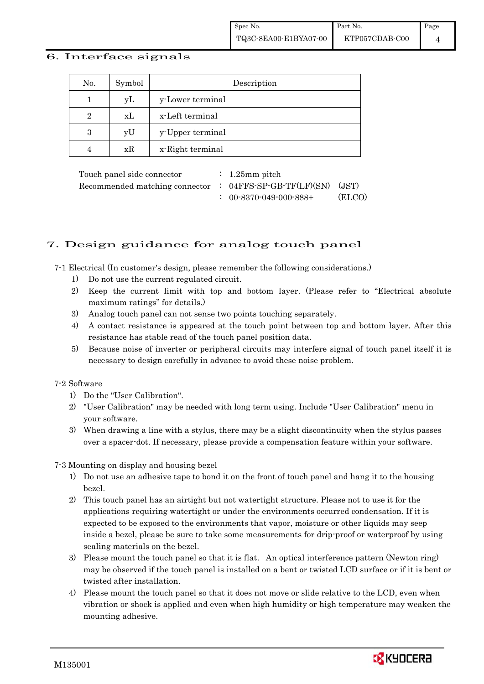#### 6. Interface signals

| No.            | Symbol | Description      |
|----------------|--------|------------------|
|                | уL     | y-Lower terminal |
| $\overline{2}$ | xL     | x-Left terminal  |
| 3              | yU     | y-Upper terminal |
|                | xR     | x-Right terminal |

Touch panel side connector : 1.25mm pitch Recommended matching connector : 04FFS-SP-GB-TF(LF)(SN) (JST) : 00-8370-049-000-888+ (ELCO)

## 7. Design guidance for analog touch panel

7-1 Electrical (In customer's design, please remember the following considerations.)

- 1) Do not use the current regulated circuit.
- 2) Keep the current limit with top and bottom layer. (Please refer to "Electrical absolute maximum ratings" for details.)
- 3) Analog touch panel can not sense two points touching separately.
- 4) A contact resistance is appeared at the touch point between top and bottom layer. After this resistance has stable read of the touch panel position data.
- 5) Because noise of inverter or peripheral circuits may interfere signal of touch panel itself it is necessary to design carefully in advance to avoid these noise problem.

#### 7-2 Software

- 1) Do the "User Calibration".
- 2) "User Calibration" may be needed with long term using. Include "User Calibration" menu in your software.
- 3) When drawing a line with a stylus, there may be a slight discontinuity when the stylus passes over a spacer-dot. If necessary, please provide a compensation feature within your software.

7-3 Mounting on display and housing bezel

- 1) Do not use an adhesive tape to bond it on the front of touch panel and hang it to the housing bezel.
- 2) This touch panel has an airtight but not watertight structure. Please not to use it for the applications requiring watertight or under the environments occurred condensation. If it is expected to be exposed to the environments that vapor, moisture or other liquids may seep inside a bezel, please be sure to take some measurements for drip-proof or waterproof by using sealing materials on the bezel.
- 3) Please mount the touch panel so that it is flat. An optical interference pattern (Newton ring) may be observed if the touch panel is installed on a bent or twisted LCD surface or if it is bent or twisted after installation.
- 4) Please mount the touch panel so that it does not move or slide relative to the LCD, even when vibration or shock is applied and even when high humidity or high temperature may weaken the mounting adhesive.

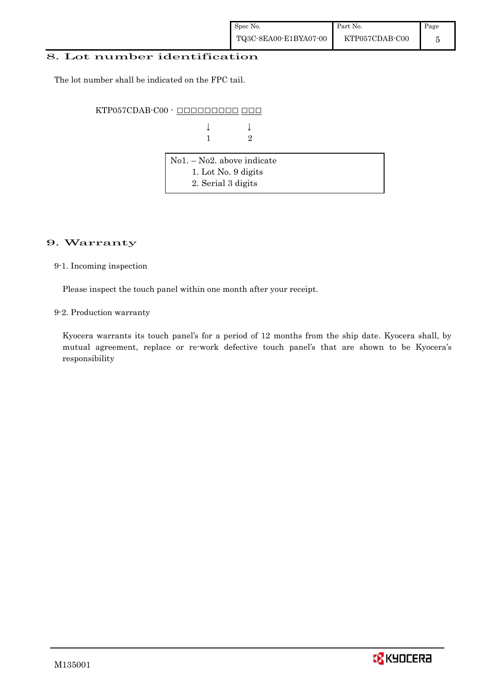#### 8. Lot number identification

The lot number shall be indicated on the FPC tail.

KTP057CDAB-C00 - ŌŌŌŌŌŌŌŌŌ ŌŌŌ

| $\downarrow \qquad \qquad \downarrow$ |  |
|---------------------------------------|--|
| $1 \qquad \qquad 2$                   |  |

| $\vert$ No1. – No2. above indicate |  |
|------------------------------------|--|
| 1. Lot No. 9 digits                |  |
| 2. Serial 3 digits                 |  |

### 9. Warranty

9-1. Incoming inspection

Please inspect the touch panel within one month after your receipt.

9-2. Production warranty

 Kyocera warrants its touch panel's for a period of 12 months from the ship date. Kyocera shall, by mutual agreement, replace or re-work defective touch panel's that are shown to be Kyocera's responsibility

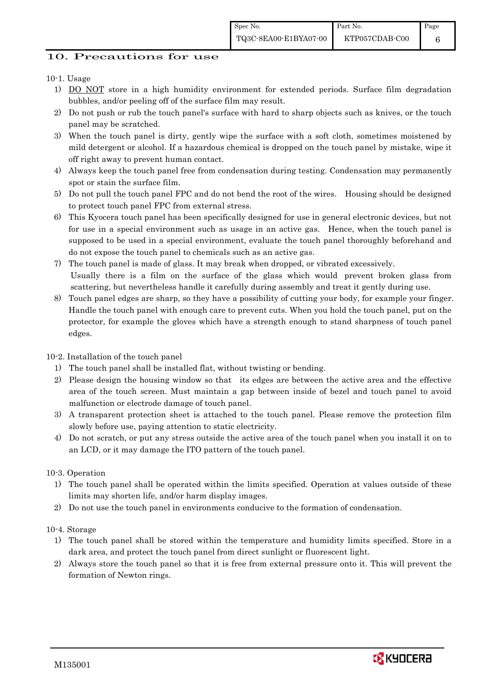#### 10. Precautions for use

#### 10-1. Usage

- 1) DO NOT store in a high humidity environment for extended periods. Surface film degradation bubbles, and/or peeling off of the surface film may result.
- 2) Do not push or rub the touch panel's surface with hard to sharp objects such as knives, or the touch panel may be scratched.
- 3) When the touch panel is dirty, gently wipe the surface with a soft cloth, sometimes moistened by mild detergent or alcohol. If a hazardous chemical is dropped on the touch panel by mistake, wipe it off right away to prevent human contact.
- 4) Always keep the touch panel free from condensation during testing. Condensation may permanently spot or stain the surface film.
- 5) Do not pull the touch panel FPC and do not bend the root of the wires. Housing should be designed to protect touch panel FPC from external stress.
- 6) This Kyocera touch panel has been specifically designed for use in general electronic devices, but not for use in a special environment such as usage in an active gas. Hence, when the touch panel is supposed to be used in a special environment, evaluate the touch panel thoroughly beforehand and do not expose the touch panel to chemicals such as an active gas.
- 7) The touch panel is made of glass. It may break when dropped, or vibrated excessively. Usually there is a film on the surface of the glass which would prevent broken glass from scattering, but nevertheless handle it carefully during assembly and treat it gently during use.
- 8) Touch panel edges are sharp, so they have a possibility of cutting your body, for example your finger. Handle the touch panel with enough care to prevent cuts. When you hold the touch panel, put on the protector, for example the gloves which have a strength enough to stand sharpness of touch panel edges.

#### 10-2. Installation of the touch panel

- 1) The touch panel shall be installed flat, without twisting or bending.
- 2) Please design the housing window so that its edges are between the active area and the effective area of the touch screen. Must maintain a gap between inside of bezel and touch panel to avoid malfunction or electrode damage of touch panel.
- 3) A transparent protection sheet is attached to the touch panel. Please remove the protection film slowly before use, paying attention to static electricity.
- 4) Do not scratch, or put any stress outside the active area of the touch panel when you install it on to an LCD, or it may damage the ITO pattern of the touch panel.

#### 10-3. Operation

- 1) The touch panel shall be operated within the limits specified. Operation at values outside of these limits may shorten life, and/or harm display images.
- 2) Do not use the touch panel in environments conducive to the formation of condensation.

#### 10-4. Storage

- 1) The touch panel shall be stored within the temperature and humidity limits specified. Store in a dark area, and protect the touch panel from direct sunlight or fluorescent light.
- 2) Always store the touch panel so that it is free from external pressure onto it. This will prevent the formation of Newton rings.



Page 6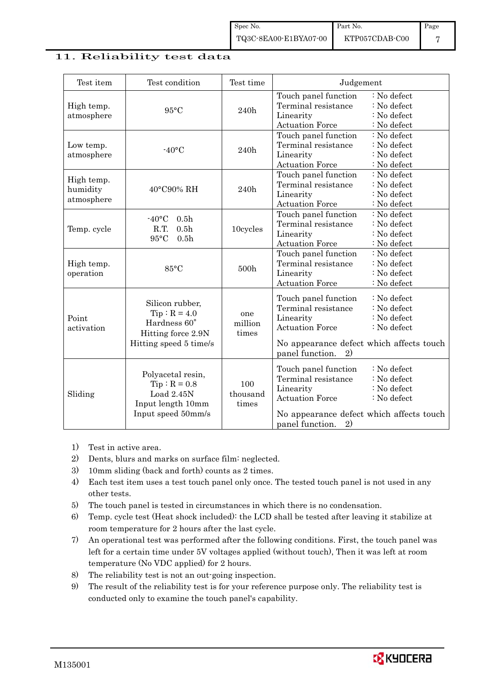### 11. Reliability test data

| Test item                            | Test condition                                                                                    | Test time                | Judgement                                                                                                                                                                                                           |  |
|--------------------------------------|---------------------------------------------------------------------------------------------------|--------------------------|---------------------------------------------------------------------------------------------------------------------------------------------------------------------------------------------------------------------|--|
| High temp.<br>atmosphere             | $95^{\circ}$ C                                                                                    | 240h                     | Touch panel function<br>: No defect<br>Terminal resistance<br>: No defect<br>: No defect<br>Linearity<br><b>Actuation Force</b><br>: No defect                                                                      |  |
| Low temp.<br>atmosphere              | $-40$ °C                                                                                          | 240h                     | Touch panel function<br>: No defect<br>Terminal resistance<br>: No defect<br>Linearity<br>: No defect<br><b>Actuation Force</b><br>: No defect                                                                      |  |
| High temp.<br>humidity<br>atmosphere | 40°C90% RH                                                                                        | 240h                     | Touch panel function<br>: No defect<br>Terminal resistance<br>: No defect<br>Linearity<br>: No defect<br><b>Actuation Force</b><br>: No defect                                                                      |  |
| Temp. cycle                          | $-40$ °C<br>0.5 <sub>h</sub><br>R.T.<br>0.5 <sub>h</sub><br>$95^{\circ}$ C<br>0.5 <sub>h</sub>    | 10cycles                 | Touch panel function<br>: No defect<br>Terminal resistance<br>: No defect<br>Linearity<br>: No defect<br><b>Actuation Force</b><br>: No defect                                                                      |  |
| High temp.<br>operation              | 85°C                                                                                              | 500h                     | Touch panel function<br>: No defect<br>Terminal resistance<br>: No defect<br>Linearity<br>: No defect<br><b>Actuation Force</b><br>: No defect                                                                      |  |
| Point<br>activation                  | Silicon rubber,<br>$Tip: R = 4.0$<br>Hardness 60°<br>Hitting force 2.9N<br>Hitting speed 5 time/s | one<br>million<br>times  | Touch panel function<br>: No defect<br>Terminal resistance<br>: No defect<br>Linearity<br>: No defect<br><b>Actuation Force</b><br>: No defect<br>No appearance defect which affects touch<br>panel function.<br>2) |  |
| Sliding                              | Polyacetal resin,<br>$Tip: R = 0.8$<br>Load $2.45N$<br>Input length 10mm<br>Input speed 50mm/s    | 100<br>thousand<br>times | Touch panel function<br>: No defect<br>Terminal resistance<br>: No defect<br>: No defect<br>Linearity<br><b>Actuation Force</b><br>: No defect<br>No appearance defect which affects touch<br>panel function.<br>2) |  |

- 1) Test in active area.
- 2) Dents, blurs and marks on surface film: neglected.
- 3) 10mm sliding (back and forth) counts as 2 times.
- 4) Each test item uses a test touch panel only once. The tested touch panel is not used in any other tests.
- 5) The touch panel is tested in circumstances in which there is no condensation.
- 6) Temp. cycle test (Heat shock included): the LCD shall be tested after leaving it stabilize at room temperature for 2 hours after the last cycle.
- 7) An operational test was performed after the following conditions. First, the touch panel was left for a certain time under 5V voltages applied (without touch), Then it was left at room temperature (No VDC applied) for 2 hours.
- 8) The reliability test is not an out-going inspection.
- 9) The result of the reliability test is for your reference purpose only. The reliability test is conducted only to examine the touch panel's capability.

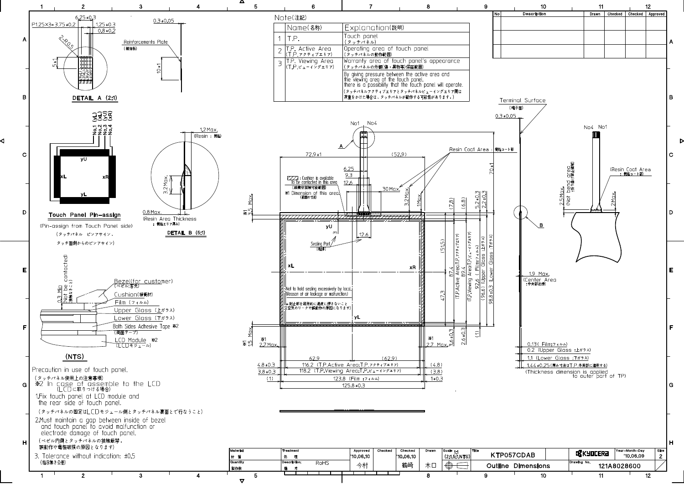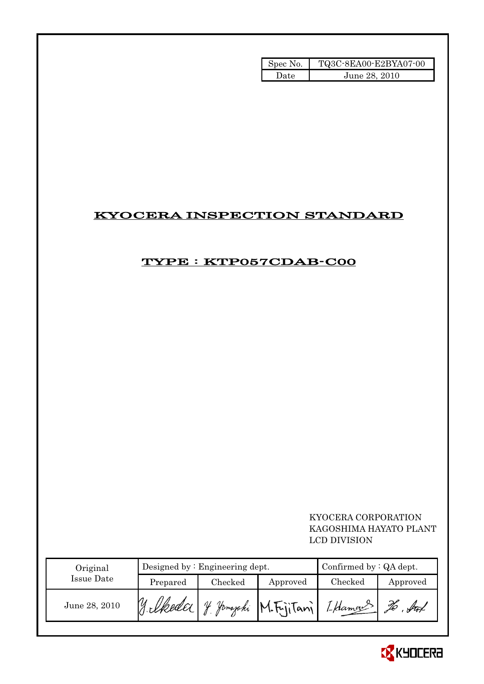| Spec No. | TQ3C-8EA00-E2BYA07-00 |
|----------|-----------------------|
| Date     | June 28, 2010         |

## KYOCERA INSPECTION STANDARD

## TYPE : KTP057CDAB-C00

## KYOCERA CORPORATION KAGOSHIMA HAYATO PLANT LCD DIVISION

| Original      | Designed by $:$ Engineering dept. |               |                            | Confirmed by $:QA$ dept. |          |
|---------------|-----------------------------------|---------------|----------------------------|--------------------------|----------|
| Issue Date    | Prepared                          | $\rm Checked$ | Approved                   | Checked                  | Approved |
| June 28, 2010 |                                   | $\mathcal{U}$ | <i>Jamazaki</i> M.Friitani | I Haman                  |          |

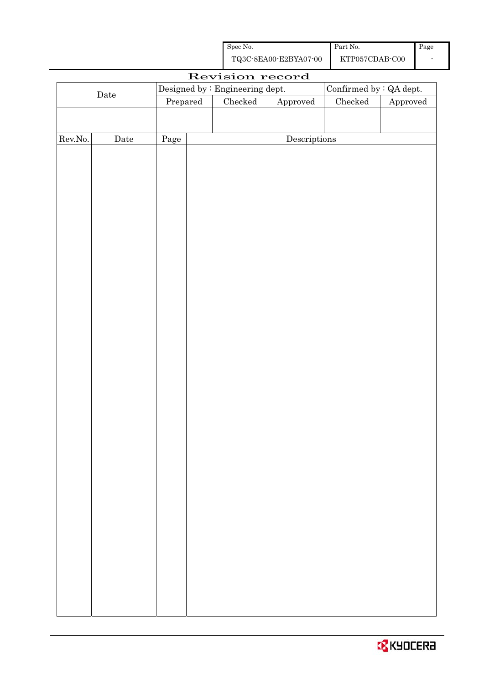| Spec No.              | Part No.       | Page |
|-----------------------|----------------|------|
| TQ3C-8EA00-E2BYA07-00 | KTP057CDAB-C00 |      |

|             |                                                                   |          | Revision record |                                      |               |          |
|-------------|-------------------------------------------------------------------|----------|-----------------|--------------------------------------|---------------|----------|
|             | Confirmed by $\colon$ QA dept.<br>Designed by : Engineering dept. |          |                 |                                      |               |          |
| $\rm{Date}$ |                                                                   | Prepared | Checked         | Approved                             | $\rm Checked$ | Approved |
|             |                                                                   |          |                 |                                      |               |          |
|             |                                                                   |          |                 |                                      |               |          |
| Rev.No.     | $\rm{Date}$                                                       | Page     |                 | $\label{eq:2} \textbf{Descriptions}$ |               |          |
|             |                                                                   |          |                 |                                      |               |          |
|             |                                                                   |          |                 |                                      |               |          |
|             |                                                                   |          |                 |                                      |               |          |
|             |                                                                   |          |                 |                                      |               |          |
|             |                                                                   |          |                 |                                      |               |          |
|             |                                                                   |          |                 |                                      |               |          |
|             |                                                                   |          |                 |                                      |               |          |
|             |                                                                   |          |                 |                                      |               |          |
|             |                                                                   |          |                 |                                      |               |          |
|             |                                                                   |          |                 |                                      |               |          |
|             |                                                                   |          |                 |                                      |               |          |
|             |                                                                   |          |                 |                                      |               |          |
|             |                                                                   |          |                 |                                      |               |          |
|             |                                                                   |          |                 |                                      |               |          |
|             |                                                                   |          |                 |                                      |               |          |
|             |                                                                   |          |                 |                                      |               |          |
|             |                                                                   |          |                 |                                      |               |          |
|             |                                                                   |          |                 |                                      |               |          |
|             |                                                                   |          |                 |                                      |               |          |
|             |                                                                   |          |                 |                                      |               |          |
|             |                                                                   |          |                 |                                      |               |          |
|             |                                                                   |          |                 |                                      |               |          |
|             |                                                                   |          |                 |                                      |               |          |
|             |                                                                   |          |                 |                                      |               |          |
|             |                                                                   |          |                 |                                      |               |          |
|             |                                                                   |          |                 |                                      |               |          |
|             |                                                                   |          |                 |                                      |               |          |
|             |                                                                   |          |                 |                                      |               |          |
|             |                                                                   |          |                 |                                      |               |          |
|             |                                                                   |          |                 |                                      |               |          |
|             |                                                                   |          |                 |                                      |               |          |
|             |                                                                   |          |                 |                                      |               |          |
|             |                                                                   |          |                 |                                      |               |          |
|             |                                                                   |          |                 |                                      |               |          |
|             |                                                                   |          |                 |                                      |               |          |
|             |                                                                   |          |                 |                                      |               |          |
|             |                                                                   |          |                 |                                      |               |          |
|             |                                                                   |          |                 |                                      |               |          |

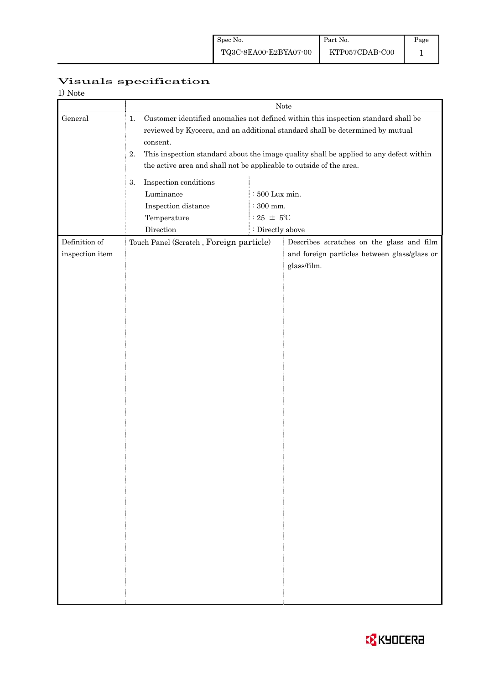| Visuals specification |
|-----------------------|

| 1) Note                          |                                                                                                                                                                                                                                                                                                                                                                      |                                                   |                                                                                                          |  |
|----------------------------------|----------------------------------------------------------------------------------------------------------------------------------------------------------------------------------------------------------------------------------------------------------------------------------------------------------------------------------------------------------------------|---------------------------------------------------|----------------------------------------------------------------------------------------------------------|--|
|                                  | Note<br>Customer identified anomalies not defined within this inspection standard shall be<br>1.<br>reviewed by Kyocera, and an additional standard shall be determined by mutual<br>consent.<br>This inspection standard about the image quality shall be applied to any defect within<br>2.<br>the active area and shall not be applicable to outside of the area. |                                                   |                                                                                                          |  |
| General                          |                                                                                                                                                                                                                                                                                                                                                                      |                                                   |                                                                                                          |  |
|                                  | Inspection conditions<br>3.<br>Luminance<br>Inspection distance<br>Temperature                                                                                                                                                                                                                                                                                       | $:500$ Lux min.<br>$:300$ mm.<br>: 25 $~\pm~$ 5°C |                                                                                                          |  |
| Definition of<br>inspection item | Direction<br>Touch Panel (Scratch, Foreign particle)                                                                                                                                                                                                                                                                                                                 | : Directly above                                  | Describes scratches on the glass and film<br>and foreign particles between glass/glass or<br>glass/film. |  |
|                                  |                                                                                                                                                                                                                                                                                                                                                                      |                                                   |                                                                                                          |  |